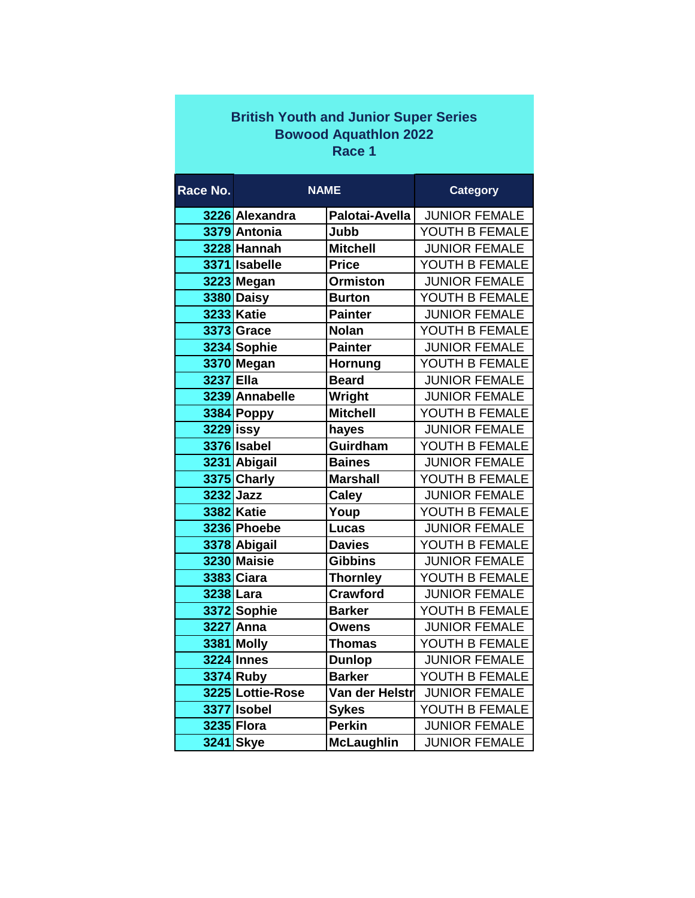|                              | <b>British Youth and Junior Super Series</b> |                   |                      |  |  |  |
|------------------------------|----------------------------------------------|-------------------|----------------------|--|--|--|
| <b>Bowood Aquathlon 2022</b> |                                              |                   |                      |  |  |  |
| Race 1                       |                                              |                   |                      |  |  |  |
|                              |                                              |                   |                      |  |  |  |
| Race No.                     | <b>NAME</b>                                  |                   | <b>Category</b>      |  |  |  |
|                              | 3226 Alexandra                               | Palotai-Avella    | <b>JUNIOR FEMALE</b> |  |  |  |
|                              | 3379 Antonia                                 | Jubb              | YOUTH B FEMALE       |  |  |  |
|                              | 3228 Hannah                                  | <b>Mitchell</b>   | <b>JUNIOR FEMALE</b> |  |  |  |
|                              | 3371 Isabelle                                | <b>Price</b>      | YOUTH B FEMALE       |  |  |  |
|                              | 3223 Megan                                   | <b>Ormiston</b>   | <b>JUNIOR FEMALE</b> |  |  |  |
|                              | 3380 Daisy                                   | <b>Burton</b>     | YOUTH B FEMALE       |  |  |  |
|                              | <b>3233 Katie</b>                            | <b>Painter</b>    | <b>JUNIOR FEMALE</b> |  |  |  |
|                              | <b>3373 Grace</b>                            | <b>Nolan</b>      | YOUTH B FEMALE       |  |  |  |
|                              | 3234 Sophie                                  | <b>Painter</b>    | <b>JUNIOR FEMALE</b> |  |  |  |
|                              | 3370 Megan                                   | Hornung           | YOUTH B FEMALE       |  |  |  |
| 3237 Ella                    |                                              | <b>Beard</b>      | <b>JUNIOR FEMALE</b> |  |  |  |
|                              | 3239 Annabelle                               | Wright            | <b>JUNIOR FEMALE</b> |  |  |  |
|                              | 3384 Poppy                                   | <b>Mitchell</b>   | YOUTH B FEMALE       |  |  |  |
| $3229$ issy                  |                                              | hayes             | <b>JUNIOR FEMALE</b> |  |  |  |
|                              | 3376 Isabel                                  | Guirdham          | YOUTH B FEMALE       |  |  |  |
|                              | 3231 Abigail                                 | <b>Baines</b>     | <b>JUNIOR FEMALE</b> |  |  |  |
|                              | 3375 Charly                                  | <b>Marshall</b>   | YOUTH B FEMALE       |  |  |  |
|                              | 3232 Jazz                                    | <b>Caley</b>      | <b>JUNIOR FEMALE</b> |  |  |  |
|                              | <b>3382 Katie</b>                            | Youp              | YOUTH B FEMALE       |  |  |  |
|                              | 3236 Phoebe                                  | <b>Lucas</b>      | <b>JUNIOR FEMALE</b> |  |  |  |
|                              | 3378 Abigail                                 | <b>Davies</b>     | YOUTH B FEMALE       |  |  |  |
|                              | 3230 Maisie                                  | <b>Gibbins</b>    | <b>JUNIOR FEMALE</b> |  |  |  |
|                              | <b>3383 Ciara</b>                            | <b>Thornley</b>   | YOUTH B FEMALE       |  |  |  |
|                              | 3238 Lara                                    | <b>Crawford</b>   | <b>JUNIOR FEMALE</b> |  |  |  |
|                              | 3372 Sophie                                  | <b>Barker</b>     | YOUTH B FEMALE       |  |  |  |
|                              | 3227 Anna                                    | <b>Owens</b>      | <b>JUNIOR FEMALE</b> |  |  |  |
|                              | 3381 Molly                                   | <b>Thomas</b>     | YOUTH B FEMALE       |  |  |  |
|                              | <b>3224 Innes</b>                            | <b>Dunlop</b>     | <b>JUNIOR FEMALE</b> |  |  |  |
|                              | 3374 Ruby                                    | <b>Barker</b>     | YOUTH B FEMALE       |  |  |  |
|                              | 3225 Lottie-Rose                             | Van der Helstr    | <b>JUNIOR FEMALE</b> |  |  |  |
|                              | 3377 Isobel                                  | <b>Sykes</b>      | YOUTH B FEMALE       |  |  |  |
|                              | 3235 Flora                                   | <b>Perkin</b>     | <b>JUNIOR FEMALE</b> |  |  |  |
|                              | 3241 Skye                                    | <b>McLaughlin</b> | <b>JUNIOR FEMALE</b> |  |  |  |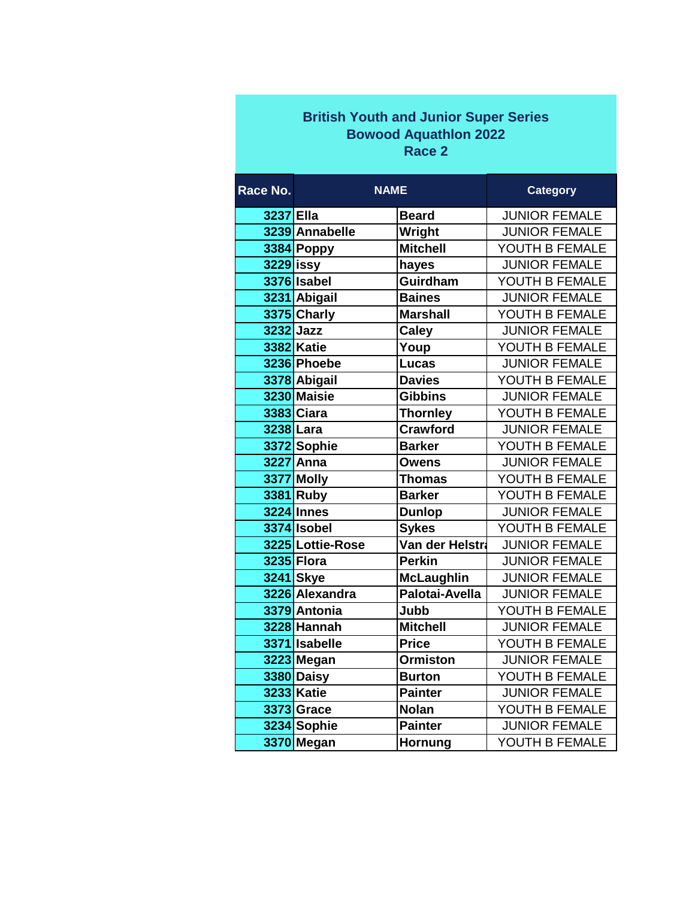| <b>British Youth and Junior Super Series</b> |  |  |  |  |  |  |
|----------------------------------------------|--|--|--|--|--|--|
| <b>Bowood Aquathlon 2022</b>                 |  |  |  |  |  |  |
| Race 2                                       |  |  |  |  |  |  |

| Race No.  | <b>NAME</b>       |                   | <b>Category</b>      |
|-----------|-------------------|-------------------|----------------------|
| 3237 Ella |                   | <b>Beard</b>      | <b>JUNIOR FEMALE</b> |
|           | 3239 Annabelle    | Wright            | <b>JUNIOR FEMALE</b> |
|           | 3384 Poppy        | <b>Mitchell</b>   | YOUTH B FEMALE       |
| 3229 issy |                   | hayes             | <b>JUNIOR FEMALE</b> |
|           | 3376 Isabel       | Guirdham          | YOUTH B FEMALE       |
|           | 3231 Abigail      | <b>Baines</b>     | <b>JUNIOR FEMALE</b> |
|           | 3375 Charly       | <b>Marshall</b>   | YOUTH B FEMALE       |
| 3232 Jazz |                   | <b>Caley</b>      | <b>JUNIOR FEMALE</b> |
|           | <b>3382 Katie</b> | Youp              | YOUTH B FEMALE       |
|           | 3236 Phoebe       | Lucas             | <b>JUNIOR FEMALE</b> |
|           | 3378 Abigail      | <b>Davies</b>     | YOUTH B FEMALE       |
|           | 3230 Maisie       | <b>Gibbins</b>    | <b>JUNIOR FEMALE</b> |
|           | 3383 Ciara        | <b>Thornley</b>   | YOUTH B FEMALE       |
| 3238 Lara |                   | <b>Crawford</b>   | <b>JUNIOR FEMALE</b> |
|           | 3372 Sophie       | <b>Barker</b>     | YOUTH B FEMALE       |
|           | 3227 Anna         | <b>Owens</b>      | <b>JUNIOR FEMALE</b> |
|           | 3377 Molly        | <b>Thomas</b>     | YOUTH B FEMALE       |
|           | 3381 Ruby         | <b>Barker</b>     | YOUTH B FEMALE       |
|           | <b>3224</b> Innes | <b>Dunlop</b>     | <b>JUNIOR FEMALE</b> |
|           | 3374 Isobel       | <b>Sykes</b>      | YOUTH B FEMALE       |
|           | 3225 Lottie-Rose  | Van der Helstra   | <b>JUNIOR FEMALE</b> |
|           | 3235 Flora        | <b>Perkin</b>     | <b>JUNIOR FEMALE</b> |
|           | 3241 Skye         | <b>McLaughlin</b> | <b>JUNIOR FEMALE</b> |
|           | 3226 Alexandra    | Palotai-Avella    | <b>JUNIOR FEMALE</b> |
|           | 3379 Antonia      | Jubb              | YOUTH B FEMALE       |
|           | 3228 Hannah       | <b>Mitchell</b>   | <b>JUNIOR FEMALE</b> |
|           | 3371 Isabelle     | <b>Price</b>      | YOUTH B FEMALE       |
|           | 3223 Megan        | <b>Ormiston</b>   | <b>JUNIOR FEMALE</b> |
|           | 3380 Daisy        | <b>Burton</b>     | YOUTH B FEMALE       |
|           | 3233 Katie        | <b>Painter</b>    | <b>JUNIOR FEMALE</b> |
|           | 3373 Grace        | <b>Nolan</b>      | YOUTH B FEMALE       |
|           | 3234 Sophie       | <b>Painter</b>    | <b>JUNIOR FEMALE</b> |
|           | 3370 Megan        | Hornung           | YOUTH B FEMALE       |